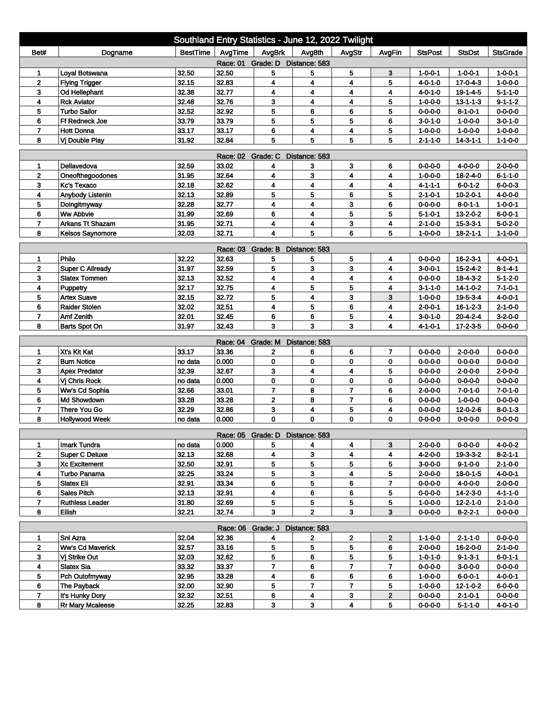| Southland Entry Statistics - June 12, 2022 Twilight                                                                 |                         |                 |                   |                                 |                         |                         |                         |                 |                  |                 |  |
|---------------------------------------------------------------------------------------------------------------------|-------------------------|-----------------|-------------------|---------------------------------|-------------------------|-------------------------|-------------------------|-----------------|------------------|-----------------|--|
| Bet#                                                                                                                | Dogname                 | <b>BestTime</b> | AvgTime           | AvgBrk                          | Avg8th                  | AvgStr                  | AvgFin                  | <b>StsPost</b>  | <b>StsDst</b>    | <b>StsGrade</b> |  |
| Race: 01<br>Grade: D Distance: 583                                                                                  |                         |                 |                   |                                 |                         |                         |                         |                 |                  |                 |  |
| 1                                                                                                                   | Loyal Botswana          | 32.50           | 32.50             | 5                               | 5                       | 5                       | 3                       | $1 - 0 - 0 - 1$ | $1 - 0 - 0 - 1$  | $1 - 0 - 0 - 1$ |  |
| $\mathbf{2}$                                                                                                        | <b>Flying Trigger</b>   | 32.15           | 32.83             | 4                               | 4                       | 4                       | 5                       | $4 - 0 - 1 - 0$ | $17 - 0 - 4 - 3$ | $1 - 0 - 0 - 0$ |  |
| 3                                                                                                                   | Od Hellephant           | 32.38           | 32.77             | 4                               | 4                       | 4                       | 4                       | $4 - 0 - 1 - 0$ | 19-1-4-5         | $5 - 1 - 1 - 0$ |  |
| 4                                                                                                                   | <b>Rck Aviator</b>      | 32.48           | 32.76             | 3                               | 4                       | 4                       | 5                       | $1 - 0 - 0 - 0$ | $13 - 1 - 1 - 3$ | $9 - 1 - 1 - 2$ |  |
| 5                                                                                                                   | <b>Turbo Sailor</b>     | 32.52           | 32.92             | 5                               | 6                       | 6                       | 5                       | $0 - 0 - 0 - 0$ | 8-1-0-1          | $0 - 0 - 0 - 0$ |  |
| 6                                                                                                                   | Ff Redneck Joe          | 33.79           | 33.79             | 5                               | 5                       | 5                       | 6                       | $3 - 0 - 1 - 0$ | $1 - 0 - 0 - 0$  | $3 - 0 - 1 - 0$ |  |
| $\overline{7}$                                                                                                      | <b>Hott Donna</b>       | 33.17           | 33.17             | 6                               | 4                       | 4                       | 5                       | $1 - 0 - 0 - 0$ | $1 - 0 - 0 - 0$  | $1 - 0 - 0 - 0$ |  |
| 5<br>5<br>8<br>31.92<br>32.84<br>5<br>5<br>Vi Double Play<br>$2 - 1 - 1 - 0$<br>$14 - 3 - 1 - 1$<br>$1 - 1 - 0 - 0$ |                         |                 |                   |                                 |                         |                         |                         |                 |                  |                 |  |
| Grade: C<br>Race: 02<br>Distance: 583                                                                               |                         |                 |                   |                                 |                         |                         |                         |                 |                  |                 |  |
| 1                                                                                                                   | Dellavedova             | 32.59           | 33.02             | 4                               | 3                       | 3                       | 6                       | $0 - 0 - 0 - 0$ | $4 - 0 - 0 - 0$  | $2 - 0 - 0 - 0$ |  |
| 2                                                                                                                   | Oneofthegoodones        | 31.95           | 32.64             | 4                               | 3                       | 4                       | 4                       | $1 - 0 - 0 - 0$ | 18-2-4-0         | $6 - 1 - 1 - 0$ |  |
| 3                                                                                                                   | Kc's Texaco             | 32.18           | 32.62             | 4                               | 4                       | $\overline{\mathbf{4}}$ | 4                       | 4-1-1-1         | $6 - 0 - 1 - 2$  | $6 - 0 - 0 - 3$ |  |
| 4                                                                                                                   | Anybody Listenin        | 32.13           | 32.89             | 5                               | 5                       | 6                       | 5                       | 2-1-0-1         | $10 - 2 - 0 - 1$ | 4-0-0-0         |  |
| 5                                                                                                                   | Doingitmyway            | 32.28           | 32.77             | 4                               | 4                       | 3                       | 6                       | $0 - 0 - 0 - 0$ | $8 - 0 - 1 - 1$  | $1 - 0 - 0 - 1$ |  |
| 6                                                                                                                   | <b>Ww Abbvie</b>        | 31.99           | 32.69             | 6                               | $\overline{\mathbf{4}}$ | 5                       | 5                       | $5 - 1 - 0 - 1$ | 13-2-0-2         | $6 - 0 - 0 - 1$ |  |
| $\overline{7}$                                                                                                      | <b>Arkans Tt Shazam</b> | 31.95           | 32.71             | 4                               | 4                       | 3                       | 4                       | 2-1-0-0         | $15 - 3 - 3 - 1$ | $5 - 0 - 2 - 0$ |  |
| 8                                                                                                                   | <b>Kelsos Saynomore</b> | 32.03           | 32.71             | 4                               | 5                       | 6                       | 5                       | $1 - 0 - 0 - 0$ | $18 - 2 - 1 - 1$ | $1 - 1 - 0 - 0$ |  |
| Grade: B<br>Distance: 583<br>Race: 03                                                                               |                         |                 |                   |                                 |                         |                         |                         |                 |                  |                 |  |
| 1                                                                                                                   | Philo                   | 32.22           | 32.63             | 5                               | 5                       | 5                       | 4                       | $0 - 0 - 0 - 0$ | $16 - 2 - 3 - 1$ | $4 - 0 - 0 - 1$ |  |
| $\mathbf{2}$                                                                                                        | <b>Super C Allready</b> | 31.97           | 32.59             | 5                               | 3                       | 3                       | 4                       | $3 - 0 - 0 - 1$ | $15 - 2 - 4 - 2$ | $8 - 1 - 4 - 1$ |  |
| 3                                                                                                                   | <b>Slatex Tommen</b>    | 32.13           | 32.52             | 4                               | 4                       | 4                       | 4                       | $0 - 0 - 0 - 0$ | $18 - 4 - 3 - 2$ | $5 - 1 - 2 - 0$ |  |
| 4                                                                                                                   | Puppetry                | 32.17           | 32.75             | 4                               | 5                       | 5                       | 4                       | $3 - 1 - 1 - 0$ | 14-1-0-2         | $7 - 1 - 0 - 1$ |  |
| 5                                                                                                                   | <b>Artex Suave</b>      | 32.15           | 32.72             | 5                               | 4                       | 3                       | 3                       | $1 - 0 - 0 - 0$ | $19 - 5 - 3 - 4$ | $4 - 0 - 0 - 1$ |  |
| 6                                                                                                                   | <b>Raider Stolen</b>    | 32.02           | 32.51             | 4                               | 5                       | 6                       | 4                       | $2 - 0 - 0 - 1$ | $16 - 1 - 2 - 3$ | $2 - 1 - 0 - 0$ |  |
| 7                                                                                                                   | <b>Amf Zenith</b>       | 32.01           | 32.45             | 6                               | 6                       | 5                       | 4                       | $3 - 0 - 1 - 0$ | $20 - 4 - 2 - 4$ | $3-2-0-0$       |  |
| 8                                                                                                                   | Barts Spot On           | 31.97           | 32.43             | 3                               | 3                       | 3                       | 4                       | 4-1-0-1         | $17 - 2 - 3 - 5$ | 0-0-0-0         |  |
|                                                                                                                     |                         |                 | Race: 04 Grade: M |                                 | Distance: 583           |                         |                         |                 |                  |                 |  |
| 1                                                                                                                   | Xt's Kit Kat            | 33.17           | 33.36             | 2                               | 6                       | 6                       | 7                       | $0 - 0 - 0 - 0$ | $2 - 0 - 0 - 0$  | $0 - 0 - 0 - 0$ |  |
| $\overline{2}$                                                                                                      | <b>Burn Notice</b>      | no data         | 0.000             | 0                               | 0                       | 0                       | 0                       | $0 - 0 - 0 - 0$ | $0 - 0 - 0 - 0$  | $0 - 0 - 0 - 0$ |  |
| 3                                                                                                                   | <b>Apex Predator</b>    | 32.39           | 32.67             | 3                               | 4                       | 4                       | 5                       | $0 - 0 - 0 - 0$ | $2 - 0 - 0 - 0$  | $2 - 0 - 0 - 0$ |  |
| 4                                                                                                                   | Vj Chris Rock           | no data         | 0.000             | 0                               | 0                       | 0                       | 0                       | $0 - 0 - 0 - 0$ | $0 - 0 - 0 - 0$  | $0 - 0 - 0 - 0$ |  |
| 5                                                                                                                   | Ww's Cd Sophia          | 32.66           | 33.01             | $\overline{7}$                  | 8                       | $\overline{7}$          | 6                       | $2 - 0 - 0 - 0$ | $7 - 0 - 1 - 0$  | $7 - 0 - 1 - 0$ |  |
| 6                                                                                                                   | Md Showdown             | 33.28           | 33.28             | $\mathbf 2$                     | 8                       | $\overline{7}$          | 6                       | $0 - 0 - 0 - 0$ | $1 - 0 - 0 - 0$  | $0 - 0 - 0 - 0$ |  |
| $\overline{7}$                                                                                                      | <b>There You Go</b>     | 32.29           | 32.86             | 3                               | 4                       | 5                       | 4                       | $0 - 0 - 0 - 0$ | 12-0-2-6         | $8 - 0 - 1 - 3$ |  |
| 8                                                                                                                   | <b>Hollywood Week</b>   | no data         | 0.000             | 0                               | $\mathbf 0$             | 0                       | 0                       | $0 - 0 - 0 - 0$ | 0-0-0-0          | 0-0-0-0         |  |
|                                                                                                                     |                         |                 |                   | Race: 05 Grade: D Distance: 583 |                         |                         |                         |                 |                  |                 |  |
| 1                                                                                                                   | Imark Tundra            | no data         | 0.000             | 5                               | 4                       | 4                       | 3                       | $2 - 0 - 0 - 0$ | $0 - 0 - 0 - 0$  | $4 - 0 - 0 - 2$ |  |
| $\mathbf{2}$                                                                                                        | <b>Super C Deluxe</b>   | 32.13           | 32.68             | 4                               | 3                       | $\overline{\mathbf{4}}$ | 4                       | $4 - 2 - 0 - 0$ | $19 - 3 - 3 - 2$ | $8 - 2 - 1 - 1$ |  |
| 3                                                                                                                   | <b>Xc Excitement</b>    | 32.50           | 32.91             | 5                               | 5                       | 5                       | 5                       | $3 - 0 - 0 - 0$ | $9 - 1 - 0 - 0$  | $2 - 1 - 0 - 0$ |  |
| 4                                                                                                                   | Turbo Panama            | 32.25           | 33.24             | 5                               | 3                       | 4                       | 5                       | $2 - 0 - 0 - 0$ | $18 - 0 - 1 - 5$ | 4-0-0-1         |  |
| 5                                                                                                                   | <b>Slatex Eli</b>       | 32.91           | 33.34             | 6                               | 5                       | 6                       | 7                       | $0 - 0 - 0 - 0$ | 4-0-0-0          | 2-0-0-0         |  |
| 6                                                                                                                   | <b>Sales Pitch</b>      | 32.13           | 32.91             | 4                               | 6                       | 6                       | 5                       | $0 - 0 - 0 - 0$ | $14 - 2 - 3 - 0$ | 4-1-1-0         |  |
| $\overline{ }$                                                                                                      | <b>Ruthless Leader</b>  | 31.80           | 32.69             | 5                               | 5                       | 5                       | 5                       | $1 - 0 - 0 - 0$ | $12 - 2 - 1 - 0$ | $2 - 1 - 0 - 0$ |  |
| 8                                                                                                                   | Eilish                  | 32.21           | 32.74             | 3                               | $\overline{2}$          | 3 <sup>1</sup>          | 3                       | $0 - 0 - 0 - 0$ | $8 - 2 - 2 - 1$  | $0 - 0 - 0 - 0$ |  |
|                                                                                                                     |                         |                 | Race: 06 Grade: J |                                 | Distance: 583           |                         |                         |                 |                  |                 |  |
| 1                                                                                                                   | Snl Azra                | 32.04           | 32.36             | 4                               | $\mathbf{2}$            | $\mathbf{2}$            | $\mathbf{2}$            | $1 - 1 - 0 - 0$ | $2 - 1 - 1 - 0$  | $0 - 0 - 0 - 0$ |  |
| $\mathbf{2}$                                                                                                        | <b>Ww's Cd Maverick</b> | 32.57           | 33.16             | 5                               | 5                       | 5                       | 6                       | $2 - 0 - 0 - 0$ | 16-2-0-0         | 2-1-0-0         |  |
| 3 <sup>1</sup>                                                                                                      | Vj Strike Out           | 32.03           | 32.62             | 5                               | 6                       | 5                       | 5                       | $1 - 0 - 1 - 0$ | 9-1-3-1          | $6 - 0 - 1 - 1$ |  |
| $\overline{\mathbf{4}}$                                                                                             | <b>Slatex Sia</b>       | 33.32           | 33.37             | $\overline{7}$                  | 6                       | $\overline{7}$          | $\overline{\mathbf{r}}$ | $0 - 0 - 0 - 0$ | $3 - 0 - 0 - 0$  | $0 - 0 - 0 - 0$ |  |
| 5                                                                                                                   | Pch Outofmyway          | 32.95           | 33.28             | 4                               | 6                       | 6                       | 6                       | $1 - 0 - 0 - 0$ | $6 - 0 - 0 - 1$  | $4 - 0 - 0 - 1$ |  |
| 6                                                                                                                   | The Payback             | 32.00           | 32.90             | 5                               | $\overline{7}$          | $\mathbf{7}$            | 5                       | $1 - 0 - 0 - 0$ | $12 - 1 - 0 - 2$ | $6 - 0 - 0 - 0$ |  |
| $\overline{7}$                                                                                                      | It's Hunky Dory         | 32.32           | 32.51             | 6                               | 4                       | $\mathbf{3}$            | $\mathbf{2}$            | 0-0-0-0         | 2-1-0-1          | 0-0-0-0         |  |
| 8                                                                                                                   | Rr Mary Mcaleese        | 32.25           | 32.83             | 3                               | 3                       | 4                       | 5                       | $0 - 0 - 0 - 0$ | $5 - 1 - 1 - 0$  | 4-0-1-0         |  |